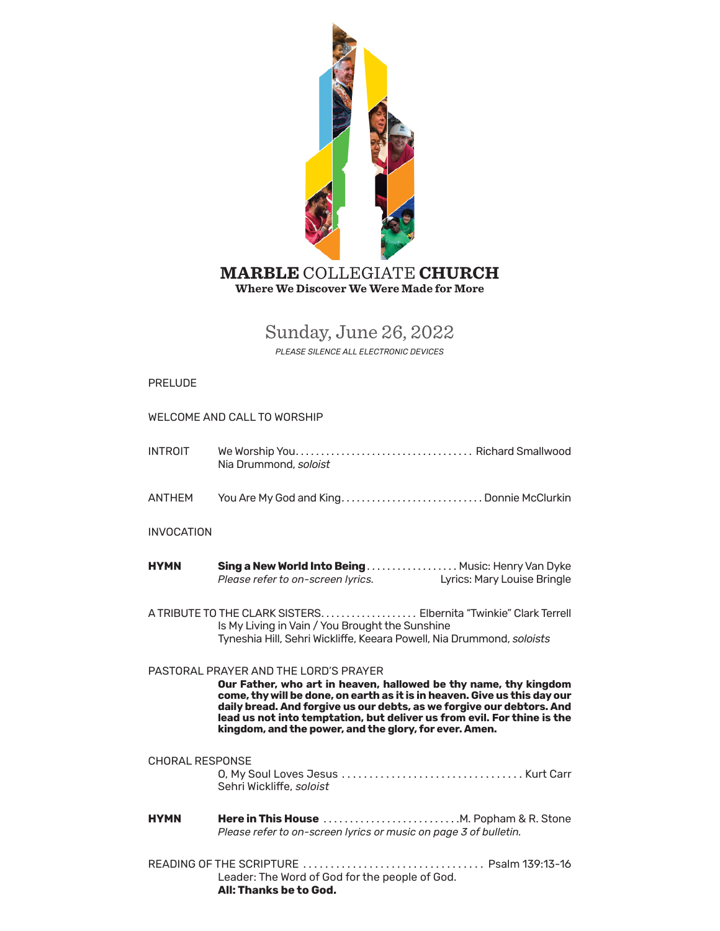

# Sunday, June 26, 2022

*PLEASE SILENCE ALL ELECTRONIC DEVICES*

### PRELUDE

### WELCOME AND CALL TO WORSHIP

- INTROIT We Worship You . . . . . . . . . . . . . . . . . . . . . . . . . . . . . . . . . . . Richard Smallwood Nia Drummond, *soloist*
- ANTHEM You Are My God and King . . . . . . . . . . . . . . . . . . . . . . . . . . . . Donnie McClurkin

### INVOCATION

- **HYMN Sing a New World Into Being** . . . . . . . . . . . . . . . . . . Music: Henry Van Dyke<br>*Please refer to on-screen lyrics.* Lyrics: Mary Louise Bringle *Please refer to on-screen lyrics.*
- A TRIBUTE TO THE CLARK SISTERS . . . . . . . . . . . . . . . . . . . Elbernita "Twinkie" Clark Terrell Is My Living in Vain / You Brought the Sunshine Tyneshia Hill, Sehri Wickliffe, Keeara Powell, Nia Drummond, *soloists*

### PASTORAL PRAYER AND THE LORD'S PRAYER

**Our Father, who art in heaven, hallowed be thy name, thy kingdom come, thy will be done, on earth as it is in heaven. Give us this day our daily bread. And forgive us our debts, as we forgive our debtors. And lead us not into temptation, but deliver us from evil. For thine is the kingdom, and the power, and the glory, for ever. Amen.**

### CHORAL RESPONSE

O, My Soul Loves Jesus . . . . . . . . . . . . . . . . . . . . . . . . . . . . . . . . . Kurt Carr Sehri Wickliffe, *soloist*

- **HYMN Here in This House** . . . . . . . . . . . . . . . . . . . . . . . . . .M. Popham & R. Stone *Please refer to on-screen lyrics or music on page 3 of bulletin.*
- READING OF THE SCRIPTURE . . . . . . . . . . . . . . . . . . . . . . . . . . . . . . . . . Psalm 139:13-16 Leader: The Word of God for the people of God. **All: Thanks be to God.**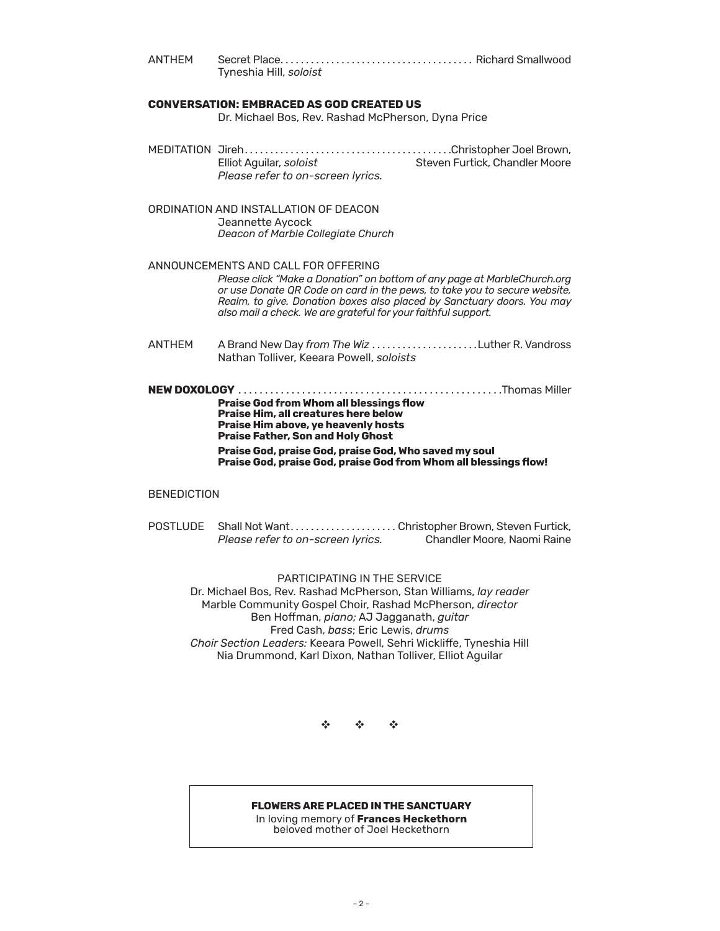ANTHEM Secret Place . . . . . . . . . . . . . . . . . . . . . . . . . . . . . . . . . . . . . . Richard Smallwood Tyneshia Hill, *soloist*

### **CONVERSATION: EMBRACED AS GOD CREATED US**

Dr. Michael Bos, Rev. Rashad McPherson, Dyna Price

- MEDITATION Jireh . . . . . . . . . . . . . . . . . . . . . . . . . . . . . . . . . . . . . . . . Christopher Joel Brown, Steven Furtick, Chandler Moore *Please refer to on-screen lyrics.*
- ORDINATION AND INSTALLATION OF DEACON Jeannette Aycock *Deacon of Marble Collegiate Church*

### ANNOUNCEMENTS AND CALL FOR [OFFERING](https://onrealm.org/marblechurch/-/give/now)

*Please clic[k "Make a Donation" o](https://onrealm.org/marblechurch/-/give/now)n bottom of any page at MarbleChurch.org or use Donate QR Code on card in the pews, to take you to secure website, Realm, to give. Donation boxes also placed by Sanctuary doors. You may also mail a check. We are grateful for your faithful support.*

- ANTHEM A Brand New Day *from The Wiz* . . . . . . . . . . . . . . . . . . . . Luther R. Vandross Nathan Tolliver, Keeara Powell, *soloists*
- **NEW DOXOLOGY** . . . . . . . . . . . . . . . . . . . . . . . . . . . . . . . . . . . . . . . . . . . . . . . . . .Thomas Miller **Praise God from Whom all blessings flow Praise Him, all creatures here below Praise Him above, ye heavenly hosts Praise Father, Son and Holy Ghost Praise God, praise God, praise God, Who saved my soul**

## **Praise God, praise God, praise God from Whom all blessings flow!**

### **BENEDICTION**

POSTLUDE Shall Not Want........................Christopher Brown, Steven Furtick,<br>Please refer to on-screen lyrics. Chandler Moore. Naomi Raine *Please refer to on-screen lyrics.* 

### PARTICIPATING IN THE SERVICE

Dr. Michael Bos, Rev. Rashad McPherson, Stan Williams, *lay reader* Marble Community Gospel Choir, Rashad McPherson, *director* Ben Hoffman, *piano;* AJ Jagganath, *guitar* Fred Cash, *bass*; Eric Lewis, *drums Choir Section Leaders:* Keeara Powell, Sehri Wickliffe, Tyneshia Hill Nia Drummond, Karl Dixon, Nathan Tolliver, Elliot Aguilar

v v v

### **FLOWERS ARE PLACED IN THE SANCTUARY**

In loving memory of **Frances Heckethorn** beloved mother of Joel Heckethorn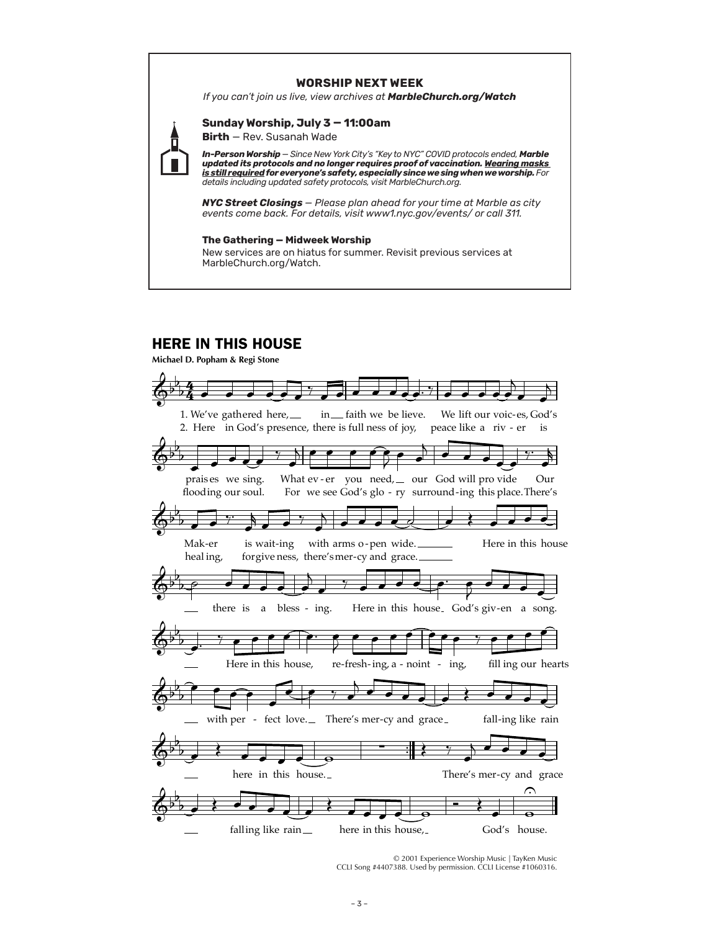### **WORSHIP NEXT WEEK**

*If you can't join us live, view archives at MarbleChurch.org/Watch*

**Birth** — Rev. Susanah Wade

**Sunday Worship, July 3 — 11:00am**

*In-Person Worship* — *Since New York City's "Key to NYC" COVID protocols ended, Marble updated its protocols and no longer requires proof of vaccination. Wearing masks is still required for everyone's safety, especially since we sing when we worship. For details including updated safety protocols, visit MarbleChurch.org.*

*NYC Street Closings — Please plan ahead for your time at Marble as city events come back. For details, visit www1.nyc.gov/events/ or call 311.*

### **The Gathering — Midweek Worship**

New services are on hiatus for summer. Revisit previous services at MarbleChurch.org/Watch.

### HERE IN THIS HOUSE

**Michael D. Popham & Regi Stone**



© 2001 Experience Worship Music | TayKen Music CCLI Song #4407388. Used by permission. CCLI License #1060316.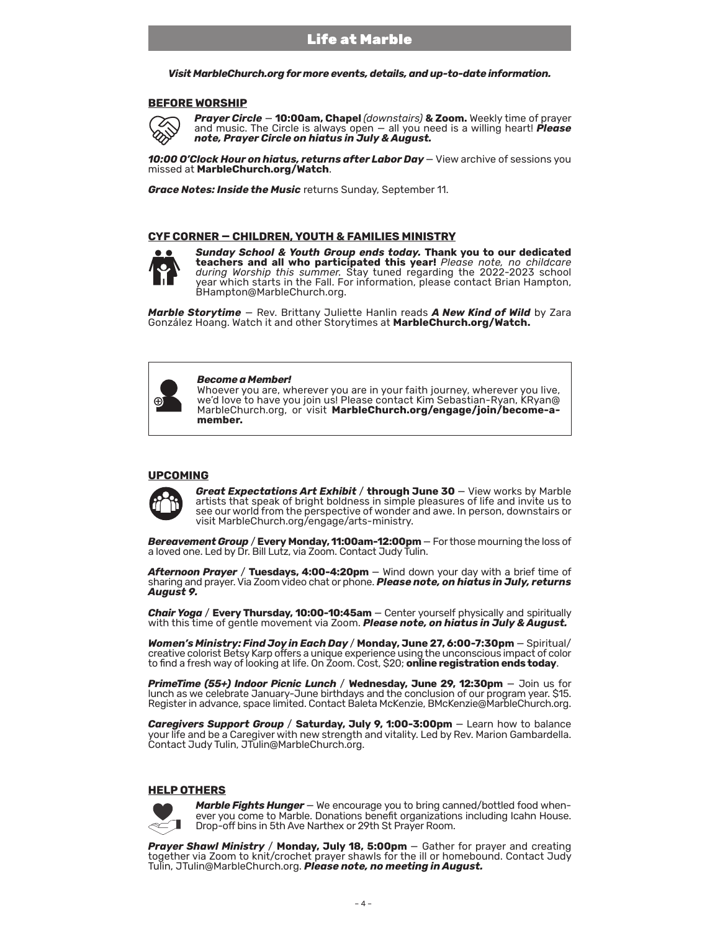### Life at Marble

*Visit MarbleChurch.org for more events, details, and up-to-date information.* 

#### **BEFORE WORSHIP**



*Prayer Circle* — **10:00am, Chapel** *(downstairs)* **& Zoom.** Weekly time of prayer and music. The Circle is always open — all you need is a willing heart! *Please note, Prayer Circle on hiatus in July & August.*

10:00 O'Clock Hour on hiatus, returns after Labor Day - View archive of sessions you missed at **MarbleChurch.org/Watch**.

*Grace Notes: Inside the Music* returns Sunday, September 11.

### **CYF CORNER — CHILDREN, YOUTH & FAMILIES MINISTRY**



*Sunday School & Youth Group ends today.* **Thank you to our dedicated teachers and all who participated this year!** *Please note, no childcare during Worship this summer.* Stay tuned regarding the 2022-2023 school year which starts in the Fall. For information, please contact Brian Hampton, BHampton@MarbleChurch.org.

*Marble Storytime* — Rev. Brittany Juliette Hanlin reads *A New Kind of Wild* by Zara González Hoang. Watch it and other Storytimes at **[MarbleChurch.org/Watch.](www.MarbleChurch.org/Marble-StoryTime)**

#### *Become a Member!*

Whoever you are, wherever you are in your faith journey, wherever you live, we'd love to have you join us! Please contact Kim Sebastian-Ryan, KRyan@ MarbleChurch.org, or visit **[MarbleChurch.org/engage/join/become-a](https://www.marblechurch.org/engage/join/become-a-member)[member.](https://www.marblechurch.org/engage/join/become-a-member)**

### **UPCOMING**



*Great Expectations Art Exhibit / through June 30 - View works by Marble* artists that speak of bright boldness in simple pleasures of life and invite us to see our world from the perspective of wonder and awe. In person, downstairs or visit MarbleChurch.org/engage/arts-ministry.

*Bereavement Group* / **Every Monday, 11:00am-12:00pm** — For those mourning the loss of a loved one. Led by Dr. Bill Lutz, via Zoom. Contact Judy Tulin.

*Afternoon Prayer* / **Tuesdays, 4:00-4:20pm** — Wind down your day with a brief time of sharing and prayer. Via Zoom video chat or phone. *Please note, on hiatus in July, returns August 9.*

*Chair Yoga* / **Every Thursday, 10:00-10:45am** — Center yourself physically and spiritually with this time of gentle movement via Zoom. *Please note, on hiatus in July & August.*

*Women's Ministry: Find Joy in Each Day* / **Monday, June 27, 6:00-7:30pm** — Spiritual/ creative colorist Betsy Karp offers a unique experience using the unconscious impact of color to find a fresh way oflooking at life. On Zoom. Cost, \$20; **online registration ends today**.

*PrimeTime (55+) Indoor Picnic Lunch* / **Wednesday, June 29, 12:30pm** — Join us for lunch as we celebrate January-June birthdays and the conclusion of our program year. \$15. Register in advance, space limited. Contact Baleta McKenzie, BMcKenzie@MarbleChurch.org.

**Caregivers Support Group / Saturday, July 9, 1:00-3:00pm - Learn how to balance** your life and be a Caregiver with new strength and vitality. Led by Rev. Marion Gambardella.<br>Contact Judy Tulin, JTulin@MarbleChurch.org.

### **HELP OTHERS**



*Marble Fights Hunger* — We encourage you to bring canned/bottled food when- ever you come to Marble. Donations benefit organizations including Icahn House. Drop-off bins in 5th Ave Narthex or 29th St Prayer Room.

**Prayer Shawl Ministry / Monday, July 18, 5:00pm** – Gather for prayer and creating together via Zoom to knit/crochet prayer shawls for the ill or homebound. Contact Judy Tulin, JTulin@MarbleChurch.org. *Please note, no meeting in August.*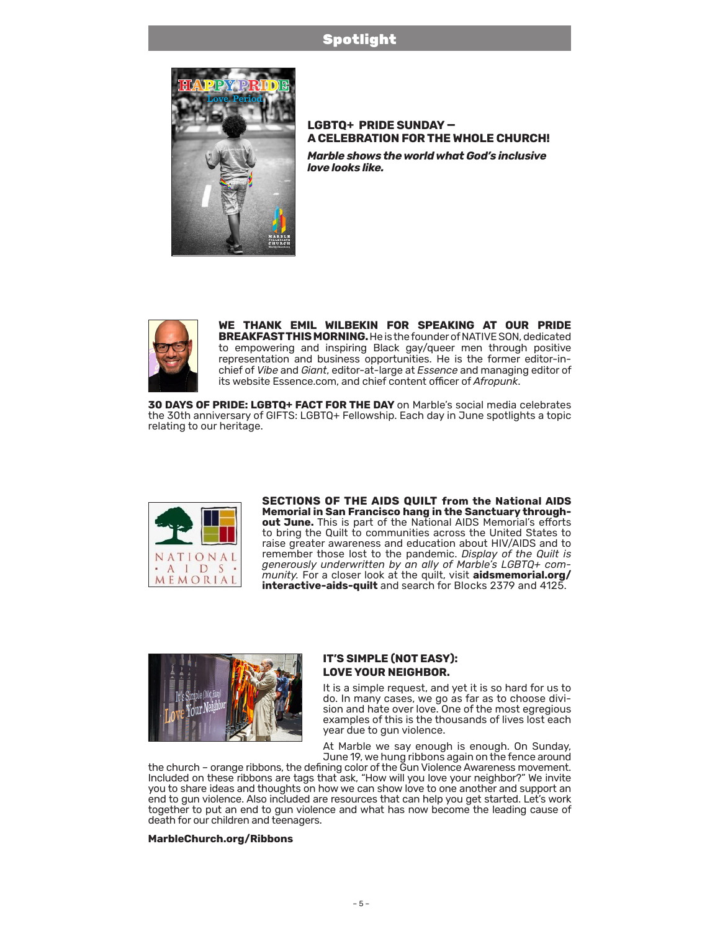### Spotlight



### **LGBTQ+ PRIDE SUNDAY — A CELEBRATION FOR THE WHOLE CHURCH!**  *Marble shows the world what God's inclusive love looks like.*



**WE THANK EMIL WILBEKIN FOR SPEAKING AT OUR PRIDE BREAKFAST THIS MORNING.**He is the founder of NATIVE SON, dedicated to empowering and inspiring Black gay/queer men through positive representation and business opportunities. He is the former editor-inchief of *Vibe* and *Giant*, editor-at-large at *Essence* and managing editor of its website Essence.com, and chief content officer of *Afropunk*.

**30 DAYS OF PRIDE: LGBTQ+ FACT FOR THE DAY** on Marble's social media celebrates the 30th anniversary of GIFTS: LGBTQ+ Fellowship. Each day in June spotlights a topic relating to our heritage.



**SECTIONS OF THE AIDS QUILT from the National AIDS Memorial in San Francisco hang in the Sanctuary throughout June.** This is part of the National AIDS Memorial's efforts to bring the Quilt to communities across the United States to raise greater awareness and education about HIV/AIDS and to remember those lost to the pandemic. *Display of the Quilt is generously underwritten by an ally of Marble's LGBTQ+ community.* For a closer look at the quilt, visit **[aidsmemorial.org/](https://www.aidsmemorial.org/interactive-aids-quilt) [interactive-aids-quilt](https://www.aidsmemorial.org/interactive-aids-quilt)** and search for Blocks 2379 and 4125.



### **IT'S SIMPLE (NOT EASY): LOVE YOUR NEIGHBOR.**

It is a simple request, and yet it is so hard for us to do. In many cases, we go as far as to choose division and hate over love. One of the most egregious examples of this is the thousands of lives lost each year due to gun violence.

At Marble we say enough is enough. On Sunday, June 19, we hung ribbons again on the fence around

the church – orange ribbons, the defining color of the Gun Violence Awareness movement. Included on these ribbons are tags that ask, "How will you love your neighbor?" We invite you to share ideas and thoughts on how we can show love to one another and support an end to gun violence. Also included are resources that can help you get started. Let's work together to put an end to gun violence and what has now become the leading cause of death for our children and teenagers.

### **[MarbleChurch.org/Ribbons](https://www.marblechurch.org/ribbons)**